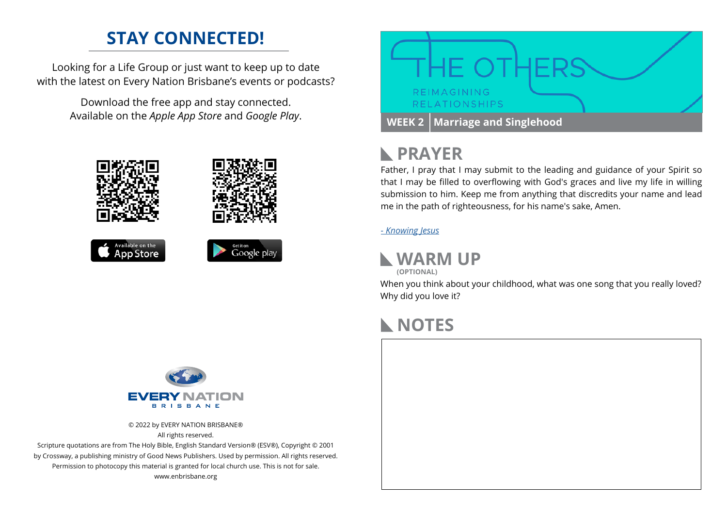### **STAY CONNECTED!**

Looking for a Life Group or just want to keep up to date with the latest on Every Nation Brisbane's events or podcasts?

> Download the free app and stay connected. Available on the *Apple App Store* and *Google Play*.











## **PRAYER**

Father, I pray that I may submit to the leading and guidance of your Spirit so that I may be filled to overflowing with God's graces and live my life in willing submission to him. Keep me from anything that discredits your name and lead me in the path of righteousness, for his name's sake, Amen.

#### *[- Knowing Jesus](https://prayer.knowing-jesus.com/Ephesians/5)*

#### **WARM UP**

**(OPTIONAL)**

When you think about your childhood, what was one song that you really loved? Why did you love it?

### **NOTES**





© 2022 by EVERY NATION BRISBANE® All rights reserved.

Scripture quotations are from The Holy Bible, English Standard Version® (ESV®), Copyright © 2001 by Crossway, a publishing ministry of Good News Publishers. Used by permission. All rights reserved. Permission to photocopy this material is granted for local church use. This is not for sale. www.enbrisbane.org